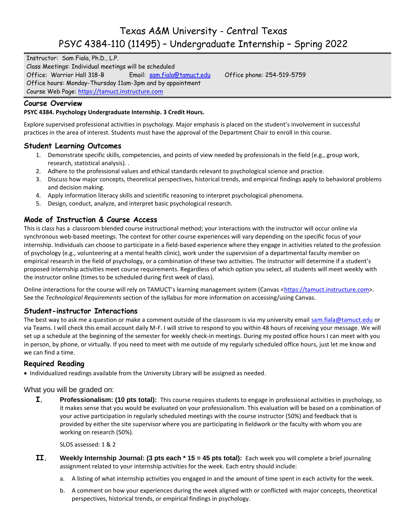# Texas A&M University - Central Texas PSYC 4384-110 (11495) – Undergraduate Internship – Spring 2022

Instructor: Sam Fiala, Ph.D., L.P. Class Meetings: Individual meetings will be scheduled Office: Warrior Hall 318-B Email: [sam.fiala@tamuct.edu](mailto:sam.fiala@tamuct.edu) Office phone: 254-519-5759 Office hours: Monday-Thursday 11am-3pm and by appointment Course Web Page: [https://tamuct.instructure.com](https://tamuct.instructure.com/)

## **Course Overview**

#### **PSYC 4384. Psychology Undergraduate Internship. 3 Credit Hours.**

Explore supervised professional activities in psychology. Major emphasis is placed on the student's involvement in successful practices in the area of interest. Students must have the approval of the Department Chair to enroll in this course.

## **Student Learning Outcomes**

- 1. Demonstrate specific skills, competencies, and points of view needed by professionals in the field (e.g., group work, research, statistical analysis). .
- 2. Adhere to the professional values and ethical standards relevant to psychological science and practice.
- 3. Discuss how major concepts, theoretical perspectives, historical trends, and empirical findings apply to behavioral problems and decision making.
- 4. Apply information literacy skills and scientific reasoning to interpret psychological phenomena.
- 5. Design, conduct, analyze, and interpret basic psychological research.

## **Mode of Instruction & Course Access**

This is class has a classroom blended course instructional method; your interactions with the instructor will occur online via synchronous web-based meetings. The context for other course experiences will vary depending on the specific focus of your internship. Individuals can choose to participate in a field-based experience where they engage in activities related to the profession of psychology (e.g., volunteering at a mental health clinic), work under the supervision of a departmental faculty member on empirical research in the field of psychology, or a combination of these two activities. The instructor will determine if a student's proposed internship activities meet course requirements. Regardless of which option you select, all students will meet weekly with the instructor online (times to be scheduled during first week of class).

Online interactions for the course will rely on TAMUCT's learning management system (Canvas <[https://tamuct.instructure.com>](https://tamuct.instructure.com/). See the *Technological Requirements* section of the syllabus for more information on accessing/using Canvas.

## **Student-instructor Interactions**

The best way to ask me a question or make a comment outside of the classroom is via my university email sam fiala@tamuct.edu or via Teams. I will check this email account daily M-F. I will strive to respond to you within 48 hours of receiving your message. We will set up a schedule at the beginning of the semester for weekly check-in meetings. During my posted office hours I can meet with you in person, by phone, or virtually. If you need to meet with me outside of my regularly scheduled office hours, just let me know and we can find a time.

## **Required Reading**

Individualized readings available from the University Library will be assigned as needed.

What you will be graded on:

**I. Professionalism: (10 pts total):** This course requires students to engage in professional activities in psychology, so it makes sense that you would be evaluated on your professionalism. This evaluation will be based on a combination of your active participation in regularly scheduled meetings with the course instructor (50%) and feedback that is provided by either the site supervisor where you are participating in fieldwork or the faculty with whom you are working on research (50%).

SLOS assessed: 1 & 2

- **II. Weekly Internship Journal: (3 pts each \* 15 = 45 pts total):** Each week you will complete a brief journaling assignment related to your internship activities for the week. Each entry should include:
	- a. A listing of what internship activities you engaged in and the amount of time spent in each activity for the week.
	- b. A comment on how your experiences during the week aligned with or conflicted with major concepts, theoretical perspectives, historical trends, or empirical findings in psychology.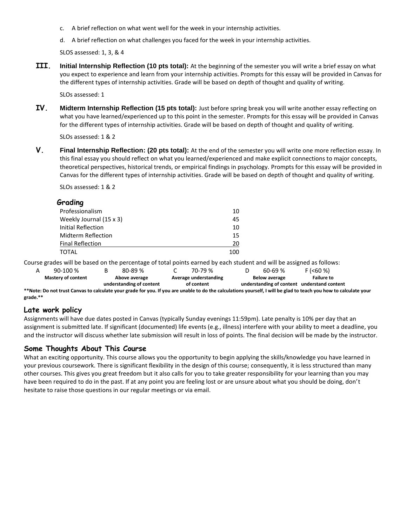- c. A brief reflection on what went well for the week in your internship activities.
- d. A brief reflection on what challenges you faced for the week in your internship activities.

SLOS assessed: 1, 3, & 4

**III. Initial Internship Reflection (10 pts total):** At the beginning of the semester you will write a brief essay on what you expect to experience and learn from your internship activities. Prompts for this essay will be provided in Canvas for the different types of internship activities. Grade will be based on depth of thought and quality of writing.

SLOs assessed: 1

**IV. Midterm Internship Reflection (15 pts total):** Just before spring break you will write another essay reflecting on what you have learned/experienced up to this point in the semester. Prompts for this essay will be provided in Canvas for the different types of internship activities. Grade will be based on depth of thought and quality of writing.

SLOs assessed: 1 & 2

**V. Final Internship Reflection: (20 pts total):** At the end of the semester you will write one more reflection essay. In this final essay you should reflect on what you learned/experienced and make explicit connections to major concepts, theoretical perspectives, historical trends, or empirical findings in psychology. Prompts for this essay will be provided in Canvas for the different types of internship activities. Grade will be based on depth of thought and quality of writing.

SLOs assessed: 1 & 2

| Grading                 |     |  |
|-------------------------|-----|--|
| Professionalism         | 10  |  |
| Weekly Journal (15 x 3) | 45  |  |
| Initial Reflection      | 10  |  |
| Midterm Reflection      | 15  |  |
| <b>Final Reflection</b> | 20  |  |
| TOTAL                   | 100 |  |

| $90-100%$                 | $80 - 89%$               | 70-79 %               | $60 - 69%$           | F (560%)                                    |  |
|---------------------------|--------------------------|-----------------------|----------------------|---------------------------------------------|--|
| <b>Mastery of content</b> | Above average            | Average understanding | <b>Below average</b> | <b>Failure to</b>                           |  |
|                           | understanding of content | of content            |                      | understanding of content understand content |  |

**\*\*Note: Do not trust Canvas to calculate your grade for you. If you are unable to do the calculations yourself, I will be glad to teach you how to calculate your grade.\*\***

## **Late work policy**

Assignments will have due dates posted in Canvas (typically Sunday evenings 11:59pm). Late penalty is 10% per day that an assignment is submitted late. If significant (documented) life events (e.g., illness) interfere with your ability to meet a deadline, you and the instructor will discuss whether late submission will result in loss of points. The final decision will be made by the instructor.

## **Some Thoughts About This Course**

What an exciting opportunity. This course allows you the opportunity to begin applying the skills/knowledge you have learned in your previous coursework. There is significant flexibility in the design of this course; consequently, it is less structured than many other courses. This gives you great freedom but it also calls for you to take greater responsibility for your learning than you may have been required to do in the past. If at any point you are feeling lost or are unsure about what you should be doing, don't hesitate to raise those questions in our regular meetings or via email.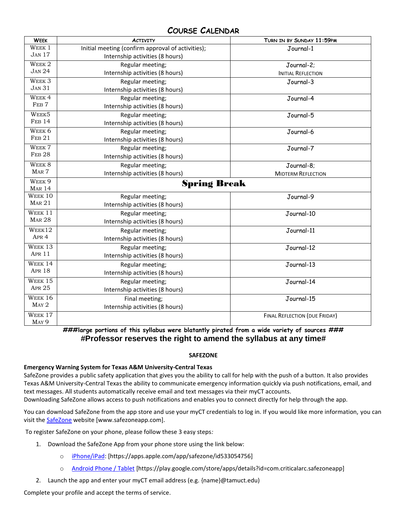## **COURSE CALENDAR**

| <b>WEEK</b>                 | <b>ACTIVITY</b>                                   | TURN IN BY SUNDAY 11:59PM     |  |  |  |  |  |
|-----------------------------|---------------------------------------------------|-------------------------------|--|--|--|--|--|
| WEEK 1                      | Initial meeting (confirm approval of activities); | Journal-1                     |  |  |  |  |  |
| <b>JAN 17</b>               | Internship activities (8 hours)                   |                               |  |  |  |  |  |
| WEEK <sub>2</sub>           | Regular meeting;                                  | Journal-2;                    |  |  |  |  |  |
| <b>JAN 24</b>               | Internship activities (8 hours)                   | <b>INITIAL REFLECTION</b>     |  |  |  |  |  |
| WEEK <sub>3</sub>           | Regular meeting;                                  | Journal-3                     |  |  |  |  |  |
| <b>JAN 31</b>               | Internship activities (8 hours)                   |                               |  |  |  |  |  |
| WEEK <sub>4</sub>           | Regular meeting;                                  | Journal-4                     |  |  |  |  |  |
| FEB <sub>7</sub>            | Internship activities (8 hours)                   |                               |  |  |  |  |  |
| WEEK5                       | Regular meeting;                                  | Journal-5                     |  |  |  |  |  |
| FEB <sub>14</sub>           | Internship activities (8 hours)                   |                               |  |  |  |  |  |
| WEEK <sub>6</sub>           | Regular meeting;                                  | Journal-6                     |  |  |  |  |  |
| FEB <sub>21</sub>           | Internship activities (8 hours)                   |                               |  |  |  |  |  |
| WEEK 7                      | Regular meeting;                                  | Journal-7                     |  |  |  |  |  |
| FEB <sub>28</sub>           | Internship activities (8 hours)                   |                               |  |  |  |  |  |
| WEEK 8                      | Regular meeting;                                  | Journal-8;                    |  |  |  |  |  |
| MAR <sub>7</sub>            | Internship activities (8 hours)                   | <b>MIDTERM REFLECTION</b>     |  |  |  |  |  |
| WEEK <sub>9</sub>           |                                                   | <b>Spring Break</b>           |  |  |  |  |  |
| <b>MAR 14</b>               |                                                   |                               |  |  |  |  |  |
| WEEK 10                     | Regular meeting;                                  | Journal-9                     |  |  |  |  |  |
| MAR 21                      | Internship activities (8 hours)                   |                               |  |  |  |  |  |
| WEEK 11                     | Regular meeting;                                  | Journal-10                    |  |  |  |  |  |
| <b>MAR 28</b>               | Internship activities (8 hours)                   |                               |  |  |  |  |  |
| WEEK12                      | Regular meeting;                                  | Journal-11                    |  |  |  |  |  |
| APR 4                       | Internship activities (8 hours)                   |                               |  |  |  |  |  |
| WEEK 13                     | Regular meeting;                                  | Journal-12                    |  |  |  |  |  |
| <b>APR 11</b>               | Internship activities (8 hours)                   |                               |  |  |  |  |  |
| WEEK 14                     | Regular meeting;                                  | Journal-13                    |  |  |  |  |  |
| <b>APR 18</b>               | Internship activities (8 hours)                   |                               |  |  |  |  |  |
| WEEK 15                     | Regular meeting;                                  | Journal-14                    |  |  |  |  |  |
| <b>APR 25</b>               | Internship activities (8 hours)                   |                               |  |  |  |  |  |
| WEEK 16                     | Final meeting;                                    | Journal-15                    |  |  |  |  |  |
| MAY 2                       | Internship activities (8 hours)                   |                               |  |  |  |  |  |
| WEEK 17<br>MAY <sub>9</sub> |                                                   | FINAL REFLECTION (DUE FRIDAY) |  |  |  |  |  |

**###large portions of this syllabus were blatantly pirated from a wide variety of sources ### #Professor reserves the right to amend the syllabus at any time#**

#### **SAFEZONE**

#### **Emergency Warning System for Texas A&M University-Central Texas**

SafeZone provides a public safety application that gives you the ability to call for help with the push of a button. It also provides Texas A&M University-Central Texas the ability to communicate emergency information quickly via push notifications, email, and text messages. All students automatically receive email and text messages via their myCT accounts.

Downloading SafeZone allows access to push notifications and enables you to connect directly for help through the app.

You can download SafeZone from the app store and use your myCT credentials to log in. If you would like more information, you can visit the **SafeZone** website [www.safezoneapp.com].

To register SafeZone on your phone, please follow these 3 easy steps*:*

- 1. Download the SafeZone App from your phone store using the link below:
	- o [iPhone/iPad:](https://apps.apple.com/app/safezone/id533054756) [https://apps.apple.com/app/safezone/id533054756]
	- o [Android Phone / Tablet](https://play.google.com/store/apps/details?id=com.criticalarc.safezoneapp) [https://play.google.com/store/apps/details?id=com.criticalarc.safezoneapp]
- 2. Launch the app and enter your myCT email address (e.g. {name}@tamuct.edu)

Complete your profile and accept the terms of service.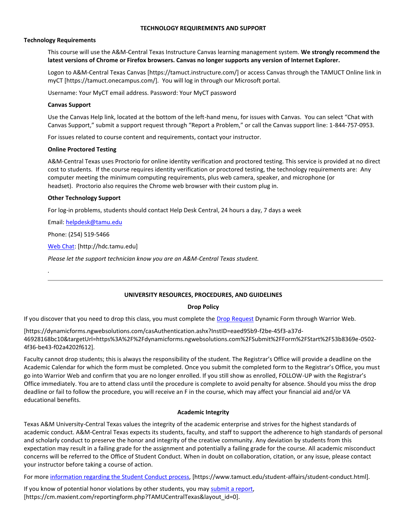#### **TECHNOLOGY REQUIREMENTS AND SUPPORT**

#### **Technology Requirements**

This course will use the A&M-Central Texas Instructure Canvas learning management system. **We strongly recommend the latest versions of Chrome or Firefox browsers. Canvas no longer supports any version of Internet Explorer.**

Logon to A&M-Central Texas Canvas [https://tamuct.instructure.com/] or access Canvas through the TAMUCT Online link in myCT [https://tamuct.onecampus.com/]. You will log in through our Microsoft portal.

Username: Your MyCT email address. Password: Your MyCT password

#### **Canvas Support**

Use the Canvas Help link, located at the bottom of the left-hand menu, for issues with Canvas. You can select "Chat with Canvas Support," submit a support request through "Report a Problem," or call the Canvas support line: 1-844-757-0953.

For issues related to course content and requirements, contact your instructor.

#### **Online Proctored Testing**

A&M-Central Texas uses Proctorio for online identity verification and proctored testing. This service is provided at no direct cost to students. If the course requires identity verification or proctored testing, the technology requirements are: Any computer meeting the minimum computing requirements, plus web camera, speaker, and microphone (or headset). Proctorio also requires the Chrome web browser with their custom plug in.

#### **Other Technology Support**

For log-in problems, students should contact Help Desk Central, 24 hours a day, 7 days a week

Email: [helpdesk@tamu.edu](mailto:helpdesk@tamu.edu)

Phone: (254) 519-5466

*.*

[Web Chat:](http://hdc.tamu.edu/) [http://hdc.tamu.edu]

*Please let the support technician know you are an A&M-Central Texas student.*

#### **UNIVERSITY RESOURCES, PROCEDURES, AND GUIDELINES**

#### **Drop Policy**

If you discover that you need to drop this class, you must complete the [Drop Request](https://dynamicforms.ngwebsolutions.com/casAuthentication.ashx?InstID=eaed95b9-f2be-45f3-a37d-46928168bc10&targetUrl=https%3A%2F%2Fdynamicforms.ngwebsolutions.com%2FSubmit%2FForm%2FStart%2F53b8369e-0502-4f36-be43-f02a4202f612) Dynamic Form through Warrior Web.

[https://dynamicforms.ngwebsolutions.com/casAuthentication.ashx?InstID=eaed95b9-f2be-45f3-a37d-46928168bc10&targetUrl=https%3A%2F%2Fdynamicforms.ngwebsolutions.com%2FSubmit%2FForm%2FStart%2F53b8369e-0502- 4f36-be43-f02a4202f612].

Faculty cannot drop students; this is always the responsibility of the student. The Registrar's Office will provide a deadline on the Academic Calendar for which the form must be completed. Once you submit the completed form to the Registrar's Office, you must go into Warrior Web and confirm that you are no longer enrolled. If you still show as enrolled, FOLLOW-UP with the Registrar's Office immediately. You are to attend class until the procedure is complete to avoid penalty for absence. Should you miss the drop deadline or fail to follow the procedure, you will receive an F in the course, which may affect your financial aid and/or VA educational benefits.

#### **Academic Integrity**

Texas A&M University-Central Texas values the integrity of the academic enterprise and strives for the highest standards of academic conduct. A&M-Central Texas expects its students, faculty, and staff to support the adherence to high standards of personal and scholarly conduct to preserve the honor and integrity of the creative community. Any deviation by students from this expectation may result in a failing grade for the assignment and potentially a failing grade for the course. All academic misconduct concerns will be referred to the Office of Student Conduct. When in doubt on collaboration, citation, or any issue, please contact your instructor before taking a course of action.

For more [information](https://nam04.safelinks.protection.outlook.com/?url=https%3A%2F%2Fwww.tamuct.edu%2Fstudent-affairs%2Fstudent-conduct.html&data=04%7C01%7Clisa.bunkowski%40tamuct.edu%7Ccfb6e486f24745f53e1a08d910055cb2%7C9eed4e3000f744849ff193ad8005acec%7C0%7C0%7C637558437485252160%7CUnknown%7CTWFpbGZsb3d8eyJWIjoiMC4wLjAwMDAiLCJQIjoiV2luMzIiLCJBTiI6Ik1haWwiLCJXVCI6Mn0%3D%7C1000&sdata=yjftDEVHvLX%2FhM%2FcFU0B99krV1RgEWR%2BJ%2BhvtoR6TYk%3D&reserved=0) regarding the Student Conduct process, [https://www.tamuct.edu/student-affairs/student-conduct.html].

If you know of potential honor violations by other students, you may submit a [report,](https://nam04.safelinks.protection.outlook.com/?url=https%3A%2F%2Fcm.maxient.com%2Freportingform.php%3FTAMUCentralTexas%26layout_id%3D0&data=04%7C01%7Clisa.bunkowski%40tamuct.edu%7Ccfb6e486f24745f53e1a08d910055cb2%7C9eed4e3000f744849ff193ad8005acec%7C0%7C0%7C637558437485262157%7CUnknown%7CTWFpbGZsb3d8eyJWIjoiMC4wLjAwMDAiLCJQIjoiV2luMzIiLCJBTiI6Ik1haWwiLCJXVCI6Mn0%3D%7C1000&sdata=CXGkOa6uPDPX1IMZ87z3aZDq2n91xfHKu4MMS43Ejjk%3D&reserved=0) [https://cm.maxient.com/reportingform.php?TAMUCentralTexas&layout\_id=0].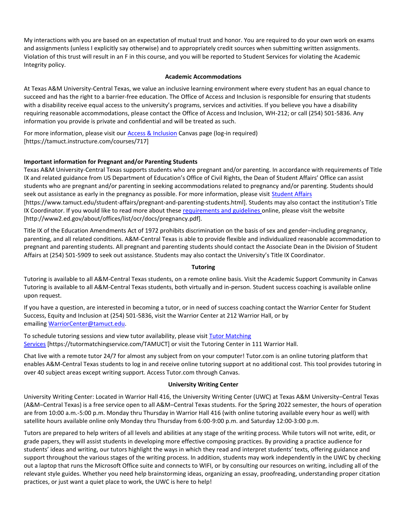My interactions with you are based on an expectation of mutual trust and honor. You are required to do your own work on exams and assignments (unless I explicitly say otherwise) and to appropriately credit sources when submitting written assignments. Violation of this trust will result in an F in this course, and you will be reported to Student Services for violating the Academic Integrity policy.

#### **Academic Accommodations**

At Texas A&M University-Central Texas, we value an inclusive learning environment where every student has an equal chance to succeed and has the right to a barrier-free education. The Office of Access and Inclusion is responsible for ensuring that students with a disability receive equal access to the university's programs, services and activities. If you believe you have a disability requiring reasonable accommodations, please contact the Office of Access and Inclusion, WH-212; or call (254) 501-5836. Any information you provide is private and confidential and will be treated as such.

For more information, please visit our **Access & Inclusion** Canvas page (log-in required) [https://tamuct.instructure.com/courses/717]

#### **Important information for Pregnant and/or Parenting Students**

Texas A&M University-Central Texas supports students who are pregnant and/or parenting. In accordance with requirements of Title IX and related guidance from US Department of Education's Office of Civil Rights, the Dean of Student Affairs' Office can assist students who are pregnant and/or parenting in seeking accommodations related to pregnancy and/or parenting. Students should seek out assistance as early in the pregnancy as possible. For more information, please visit [Student Affairs](https://www.tamuct.edu/student-affairs/pregnant-and-parenting-students.html) [https://www.tamuct.edu/student-affairs/pregnant-and-parenting-students.html]. Students may also contact the institution's Title IX Coordinator. If you would like to read more about these [requirements and guidelines](http://www2.ed.gov/about/offices/list/ocr/docs/pregnancy.pdf) online, please visit the website [http://www2.ed.gov/about/offices/list/ocr/docs/pregnancy.pdf].

Title IX of the Education Amendments Act of 1972 prohibits discrimination on the basis of sex and gender–including pregnancy, parenting, and all related conditions. A&M-Central Texas is able to provide flexible and individualized reasonable accommodation to pregnant and parenting students. All pregnant and parenting students should contact the Associate Dean in the Division of Student Affairs at (254) 501-5909 to seek out assistance. Students may also contact the University's Title IX Coordinator.

#### **Tutoring**

Tutoring is available to all A&M-Central Texas students, on a remote online basis. Visit the Academic Support Community in Canvas Tutoring is available to all A&M-Central Texas students, both virtually and in-person. Student success coaching is available online upon request.

If you have a question, are interested in becoming a tutor, or in need of success coaching contact the Warrior Center for Student Success, Equity and Inclusion at (254) 501-5836, visit the Warrior Center at 212 Warrior Hall, or by emailing [WarriorCenter@tamuct.edu.](mailto:WarriorCenter@tamuct.edu)

To schedule tutoring sessions and view tutor availability, please visit [Tutor Matching](https://tutormatchingservice.com/TAMUCT)  [Services](https://tutormatchingservice.com/TAMUCT) [https://tutormatchingservice.com/TAMUCT] or visit the Tutoring Center in 111 Warrior Hall.

Chat live with a remote tutor 24/7 for almost any subject from on your computer! Tutor.com is an online tutoring platform that enables A&M-Central Texas students to log in and receive online tutoring support at no additional cost. This tool provides tutoring in over 40 subject areas except writing support. Access Tutor.com through Canvas.

#### **University Writing Center**

University Writing Center: Located in Warrior Hall 416, the University Writing Center (UWC) at Texas A&M University–Central Texas (A&M–Central Texas) is a free service open to all A&M–Central Texas students. For the Spring 2022 semester, the hours of operation are from 10:00 a.m.-5:00 p.m. Monday thru Thursday in Warrior Hall 416 (with online tutoring available every hour as well) with satellite hours available online only Monday thru Thursday from 6:00-9:00 p.m. and Saturday 12:00-3:00 p.m.

Tutors are prepared to help writers of all levels and abilities at any stage of the writing process. While tutors will not write, edit, or grade papers, they will assist students in developing more effective composing practices. By providing a practice audience for students' ideas and writing, our tutors highlight the ways in which they read and interpret students' texts, offering guidance and support throughout the various stages of the writing process. In addition, students may work independently in the UWC by checking out a laptop that runs the Microsoft Office suite and connects to WIFI, or by consulting our resources on writing, including all of the relevant style guides. Whether you need help brainstorming ideas, organizing an essay, proofreading, understanding proper citation practices, or just want a quiet place to work, the UWC is here to help!